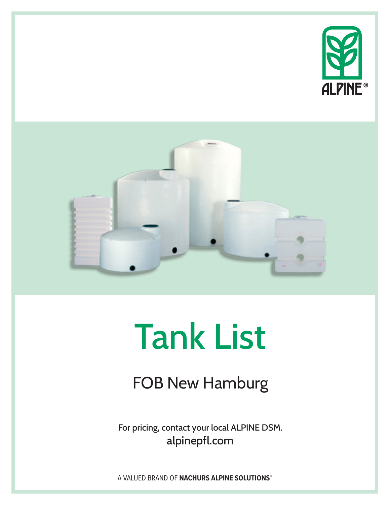



# Tank List

FOB New Hamburg

For pricing, contact your local ALPINE DSM. alpinepfl.com

A VALUED BRAND OF **NACHURS ALPINE SOLUTIONS®**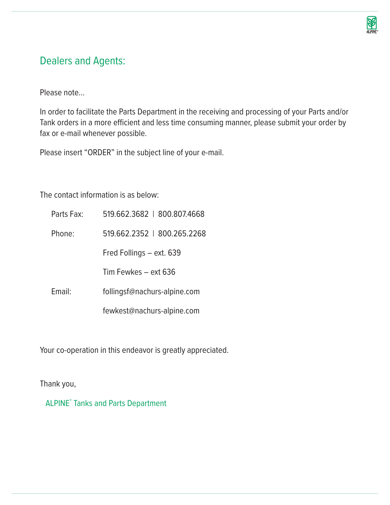![](_page_1_Picture_0.jpeg)

# Dealers and Agents:

Please note…

In order to facilitate the Parts Department in the receiving and processing of your Parts and/or Tank orders in a more efficient and less time consuming manner, please submit your order by fax or e-mail whenever possible.

Please insert "ORDER" in the subject line of your e-mail.

The contact information is as below:

| Parts Fax: | 519.662.3682   800.807.4668  |
|------------|------------------------------|
| Phone:     | 519.662.2352   800.265.2268  |
|            | Fred Follings - ext. 639     |
|            | Tim Fewkes – ext 636         |
| Email:     | follingsf@nachurs-alpine.com |
|            | fewkest@nachurs-alpine.com   |

Your co-operation in this endeavor is greatly appreciated.

Thank you,

ALPINE**®** Tanks and Parts Department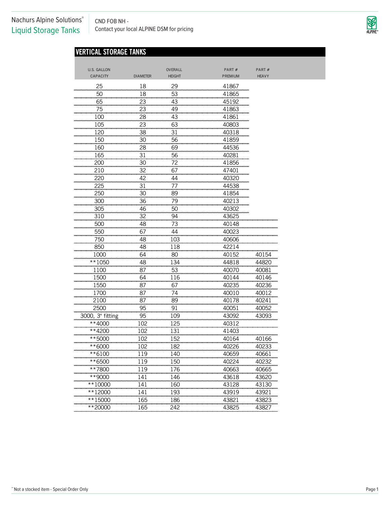CND FOB NH - CND FOB NH -<br>Contact your local ALPINE DSM for pricing

![](_page_2_Picture_2.jpeg)

# **VERTICAL STORAGE TANKS**

| CAPACITY<br><b>DIAMETER</b><br><b>HEIGHT</b><br><b>HEAVY</b><br>PREMIUM<br>25<br>18<br>29<br>41867<br>50<br>18<br>53<br>41865<br>65<br>23<br>43<br>45192<br>75<br>23<br>49<br>41863<br>100<br>28<br>43<br>41861<br>105<br>23<br>63<br>40803<br>120<br>38<br>31<br>40318<br>150<br>30<br>56<br>41859<br>160<br>28<br>69<br>44536<br>31<br>165<br>56<br>40281<br>200<br>30<br>72<br>41856<br>210<br>32<br>67<br>47401<br>220<br>42<br>44<br>40320<br>31<br>225<br>77<br>44538<br>250<br>30<br>89<br>41854<br>300<br>36<br>79<br>40213<br>305<br>46<br>50<br>40302<br>310<br>32<br>94<br>43625<br>500<br>48<br>73<br>40148<br>550<br>67<br>44<br>40023<br>750<br>48<br>103<br>40606<br>850<br>48<br>118<br>42214<br>64<br>80<br>40154<br>1000<br>40152<br>**1050<br>48<br>134<br>44818<br>44820<br>87<br>53<br>1100<br>40070<br>40081<br>1500<br>64<br>116<br>40144<br>40146<br>1550<br>87<br>67<br>40235<br>40236<br>1700<br>87<br>74<br>40010<br>40012<br>2100<br>87<br>89<br>40178<br>40241<br>2500<br>95<br>91<br>40051<br>40052<br>3000, 3" fitting<br>95<br>109<br>43092<br>43093<br>**4000<br>102<br>125<br>40312<br>102<br>131<br>**4200<br>41403<br>152<br>40166<br>**5000<br>102<br>40164<br>**6000<br>102<br>182<br>40233<br>40226<br>119<br>40659<br>**6100<br>140<br>40661<br>119<br>150<br>40224<br>40232<br>**6500<br>119<br>176<br>40665<br>**7800<br>40663<br>141<br>146<br>43618<br>43620<br>**9000<br>141<br>160<br>43128<br>43130<br>**10000<br>**12000<br>141<br>193<br>43919<br>43921<br>165<br>186<br>43821<br>43823<br>**15000 | U.S. GALLON | OVERALL | PART# | PART# |
|-----------------------------------------------------------------------------------------------------------------------------------------------------------------------------------------------------------------------------------------------------------------------------------------------------------------------------------------------------------------------------------------------------------------------------------------------------------------------------------------------------------------------------------------------------------------------------------------------------------------------------------------------------------------------------------------------------------------------------------------------------------------------------------------------------------------------------------------------------------------------------------------------------------------------------------------------------------------------------------------------------------------------------------------------------------------------------------------------------------------------------------------------------------------------------------------------------------------------------------------------------------------------------------------------------------------------------------------------------------------------------------------------------------------------------------------------------------------------------------------------------------------------------------------------------|-------------|---------|-------|-------|
|                                                                                                                                                                                                                                                                                                                                                                                                                                                                                                                                                                                                                                                                                                                                                                                                                                                                                                                                                                                                                                                                                                                                                                                                                                                                                                                                                                                                                                                                                                                                                     |             |         |       |       |
|                                                                                                                                                                                                                                                                                                                                                                                                                                                                                                                                                                                                                                                                                                                                                                                                                                                                                                                                                                                                                                                                                                                                                                                                                                                                                                                                                                                                                                                                                                                                                     |             |         |       |       |
|                                                                                                                                                                                                                                                                                                                                                                                                                                                                                                                                                                                                                                                                                                                                                                                                                                                                                                                                                                                                                                                                                                                                                                                                                                                                                                                                                                                                                                                                                                                                                     |             |         |       |       |
|                                                                                                                                                                                                                                                                                                                                                                                                                                                                                                                                                                                                                                                                                                                                                                                                                                                                                                                                                                                                                                                                                                                                                                                                                                                                                                                                                                                                                                                                                                                                                     |             |         |       |       |
|                                                                                                                                                                                                                                                                                                                                                                                                                                                                                                                                                                                                                                                                                                                                                                                                                                                                                                                                                                                                                                                                                                                                                                                                                                                                                                                                                                                                                                                                                                                                                     |             |         |       |       |
|                                                                                                                                                                                                                                                                                                                                                                                                                                                                                                                                                                                                                                                                                                                                                                                                                                                                                                                                                                                                                                                                                                                                                                                                                                                                                                                                                                                                                                                                                                                                                     |             |         |       |       |
|                                                                                                                                                                                                                                                                                                                                                                                                                                                                                                                                                                                                                                                                                                                                                                                                                                                                                                                                                                                                                                                                                                                                                                                                                                                                                                                                                                                                                                                                                                                                                     |             |         |       |       |
|                                                                                                                                                                                                                                                                                                                                                                                                                                                                                                                                                                                                                                                                                                                                                                                                                                                                                                                                                                                                                                                                                                                                                                                                                                                                                                                                                                                                                                                                                                                                                     |             |         |       |       |
|                                                                                                                                                                                                                                                                                                                                                                                                                                                                                                                                                                                                                                                                                                                                                                                                                                                                                                                                                                                                                                                                                                                                                                                                                                                                                                                                                                                                                                                                                                                                                     |             |         |       |       |
|                                                                                                                                                                                                                                                                                                                                                                                                                                                                                                                                                                                                                                                                                                                                                                                                                                                                                                                                                                                                                                                                                                                                                                                                                                                                                                                                                                                                                                                                                                                                                     |             |         |       |       |
|                                                                                                                                                                                                                                                                                                                                                                                                                                                                                                                                                                                                                                                                                                                                                                                                                                                                                                                                                                                                                                                                                                                                                                                                                                                                                                                                                                                                                                                                                                                                                     |             |         |       |       |
|                                                                                                                                                                                                                                                                                                                                                                                                                                                                                                                                                                                                                                                                                                                                                                                                                                                                                                                                                                                                                                                                                                                                                                                                                                                                                                                                                                                                                                                                                                                                                     |             |         |       |       |
|                                                                                                                                                                                                                                                                                                                                                                                                                                                                                                                                                                                                                                                                                                                                                                                                                                                                                                                                                                                                                                                                                                                                                                                                                                                                                                                                                                                                                                                                                                                                                     |             |         |       |       |
|                                                                                                                                                                                                                                                                                                                                                                                                                                                                                                                                                                                                                                                                                                                                                                                                                                                                                                                                                                                                                                                                                                                                                                                                                                                                                                                                                                                                                                                                                                                                                     |             |         |       |       |
|                                                                                                                                                                                                                                                                                                                                                                                                                                                                                                                                                                                                                                                                                                                                                                                                                                                                                                                                                                                                                                                                                                                                                                                                                                                                                                                                                                                                                                                                                                                                                     |             |         |       |       |
|                                                                                                                                                                                                                                                                                                                                                                                                                                                                                                                                                                                                                                                                                                                                                                                                                                                                                                                                                                                                                                                                                                                                                                                                                                                                                                                                                                                                                                                                                                                                                     |             |         |       |       |
|                                                                                                                                                                                                                                                                                                                                                                                                                                                                                                                                                                                                                                                                                                                                                                                                                                                                                                                                                                                                                                                                                                                                                                                                                                                                                                                                                                                                                                                                                                                                                     |             |         |       |       |
|                                                                                                                                                                                                                                                                                                                                                                                                                                                                                                                                                                                                                                                                                                                                                                                                                                                                                                                                                                                                                                                                                                                                                                                                                                                                                                                                                                                                                                                                                                                                                     |             |         |       |       |
|                                                                                                                                                                                                                                                                                                                                                                                                                                                                                                                                                                                                                                                                                                                                                                                                                                                                                                                                                                                                                                                                                                                                                                                                                                                                                                                                                                                                                                                                                                                                                     |             |         |       |       |
|                                                                                                                                                                                                                                                                                                                                                                                                                                                                                                                                                                                                                                                                                                                                                                                                                                                                                                                                                                                                                                                                                                                                                                                                                                                                                                                                                                                                                                                                                                                                                     |             |         |       |       |
|                                                                                                                                                                                                                                                                                                                                                                                                                                                                                                                                                                                                                                                                                                                                                                                                                                                                                                                                                                                                                                                                                                                                                                                                                                                                                                                                                                                                                                                                                                                                                     |             |         |       |       |
|                                                                                                                                                                                                                                                                                                                                                                                                                                                                                                                                                                                                                                                                                                                                                                                                                                                                                                                                                                                                                                                                                                                                                                                                                                                                                                                                                                                                                                                                                                                                                     |             |         |       |       |
|                                                                                                                                                                                                                                                                                                                                                                                                                                                                                                                                                                                                                                                                                                                                                                                                                                                                                                                                                                                                                                                                                                                                                                                                                                                                                                                                                                                                                                                                                                                                                     |             |         |       |       |
|                                                                                                                                                                                                                                                                                                                                                                                                                                                                                                                                                                                                                                                                                                                                                                                                                                                                                                                                                                                                                                                                                                                                                                                                                                                                                                                                                                                                                                                                                                                                                     |             |         |       |       |
|                                                                                                                                                                                                                                                                                                                                                                                                                                                                                                                                                                                                                                                                                                                                                                                                                                                                                                                                                                                                                                                                                                                                                                                                                                                                                                                                                                                                                                                                                                                                                     |             |         |       |       |
|                                                                                                                                                                                                                                                                                                                                                                                                                                                                                                                                                                                                                                                                                                                                                                                                                                                                                                                                                                                                                                                                                                                                                                                                                                                                                                                                                                                                                                                                                                                                                     |             |         |       |       |
|                                                                                                                                                                                                                                                                                                                                                                                                                                                                                                                                                                                                                                                                                                                                                                                                                                                                                                                                                                                                                                                                                                                                                                                                                                                                                                                                                                                                                                                                                                                                                     |             |         |       |       |
|                                                                                                                                                                                                                                                                                                                                                                                                                                                                                                                                                                                                                                                                                                                                                                                                                                                                                                                                                                                                                                                                                                                                                                                                                                                                                                                                                                                                                                                                                                                                                     |             |         |       |       |
|                                                                                                                                                                                                                                                                                                                                                                                                                                                                                                                                                                                                                                                                                                                                                                                                                                                                                                                                                                                                                                                                                                                                                                                                                                                                                                                                                                                                                                                                                                                                                     |             |         |       |       |
|                                                                                                                                                                                                                                                                                                                                                                                                                                                                                                                                                                                                                                                                                                                                                                                                                                                                                                                                                                                                                                                                                                                                                                                                                                                                                                                                                                                                                                                                                                                                                     |             |         |       |       |
|                                                                                                                                                                                                                                                                                                                                                                                                                                                                                                                                                                                                                                                                                                                                                                                                                                                                                                                                                                                                                                                                                                                                                                                                                                                                                                                                                                                                                                                                                                                                                     |             |         |       |       |
|                                                                                                                                                                                                                                                                                                                                                                                                                                                                                                                                                                                                                                                                                                                                                                                                                                                                                                                                                                                                                                                                                                                                                                                                                                                                                                                                                                                                                                                                                                                                                     |             |         |       |       |
|                                                                                                                                                                                                                                                                                                                                                                                                                                                                                                                                                                                                                                                                                                                                                                                                                                                                                                                                                                                                                                                                                                                                                                                                                                                                                                                                                                                                                                                                                                                                                     |             |         |       |       |
|                                                                                                                                                                                                                                                                                                                                                                                                                                                                                                                                                                                                                                                                                                                                                                                                                                                                                                                                                                                                                                                                                                                                                                                                                                                                                                                                                                                                                                                                                                                                                     |             |         |       |       |
|                                                                                                                                                                                                                                                                                                                                                                                                                                                                                                                                                                                                                                                                                                                                                                                                                                                                                                                                                                                                                                                                                                                                                                                                                                                                                                                                                                                                                                                                                                                                                     |             |         |       |       |
|                                                                                                                                                                                                                                                                                                                                                                                                                                                                                                                                                                                                                                                                                                                                                                                                                                                                                                                                                                                                                                                                                                                                                                                                                                                                                                                                                                                                                                                                                                                                                     |             |         |       |       |
|                                                                                                                                                                                                                                                                                                                                                                                                                                                                                                                                                                                                                                                                                                                                                                                                                                                                                                                                                                                                                                                                                                                                                                                                                                                                                                                                                                                                                                                                                                                                                     |             |         |       |       |
|                                                                                                                                                                                                                                                                                                                                                                                                                                                                                                                                                                                                                                                                                                                                                                                                                                                                                                                                                                                                                                                                                                                                                                                                                                                                                                                                                                                                                                                                                                                                                     |             |         |       |       |
|                                                                                                                                                                                                                                                                                                                                                                                                                                                                                                                                                                                                                                                                                                                                                                                                                                                                                                                                                                                                                                                                                                                                                                                                                                                                                                                                                                                                                                                                                                                                                     |             |         |       |       |
|                                                                                                                                                                                                                                                                                                                                                                                                                                                                                                                                                                                                                                                                                                                                                                                                                                                                                                                                                                                                                                                                                                                                                                                                                                                                                                                                                                                                                                                                                                                                                     |             |         |       |       |
|                                                                                                                                                                                                                                                                                                                                                                                                                                                                                                                                                                                                                                                                                                                                                                                                                                                                                                                                                                                                                                                                                                                                                                                                                                                                                                                                                                                                                                                                                                                                                     |             |         |       |       |
|                                                                                                                                                                                                                                                                                                                                                                                                                                                                                                                                                                                                                                                                                                                                                                                                                                                                                                                                                                                                                                                                                                                                                                                                                                                                                                                                                                                                                                                                                                                                                     |             |         |       |       |
|                                                                                                                                                                                                                                                                                                                                                                                                                                                                                                                                                                                                                                                                                                                                                                                                                                                                                                                                                                                                                                                                                                                                                                                                                                                                                                                                                                                                                                                                                                                                                     |             |         |       |       |
|                                                                                                                                                                                                                                                                                                                                                                                                                                                                                                                                                                                                                                                                                                                                                                                                                                                                                                                                                                                                                                                                                                                                                                                                                                                                                                                                                                                                                                                                                                                                                     |             |         |       |       |
|                                                                                                                                                                                                                                                                                                                                                                                                                                                                                                                                                                                                                                                                                                                                                                                                                                                                                                                                                                                                                                                                                                                                                                                                                                                                                                                                                                                                                                                                                                                                                     |             |         |       |       |
| 165<br>242<br>**20000<br>43825<br>43827                                                                                                                                                                                                                                                                                                                                                                                                                                                                                                                                                                                                                                                                                                                                                                                                                                                                                                                                                                                                                                                                                                                                                                                                                                                                                                                                                                                                                                                                                                             |             |         |       |       |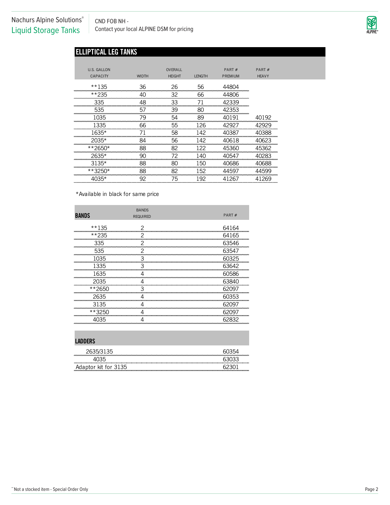CND FOB NH - CND FOB NH -<br>Contact your local ALPINE DSM for pricing

![](_page_3_Picture_2.jpeg)

# **ELLIPTICAL LEG TANKS**

| U.S. GALLON             |                           | OVERALL       |                 | PART $#$             | PART#                                        |
|-------------------------|---------------------------|---------------|-----------------|----------------------|----------------------------------------------|
| <b>CAPACITY</b>         | <b>WIDTH</b>              | <b>HEIGHT</b> | <b>LENGTH</b>   | PREMIUM              | <b>HEAVY</b>                                 |
| $**135$                 | 36                        | 26            | 56              | 44804                |                                              |
| **235<br>------------   | --------------------      | 32            | 66              | 44806                |                                              |
| 335                     | 48                        | 33            |                 | 42339<br>.           |                                              |
| 535<br>---------------- | 57                        | 39            | 80              | 42353                |                                              |
| 1035                    | 79                        | 54            | 89              | 40191                | 40192                                        |
| 1335                    | 66                        | 55            | 126             | 42927                | 42929                                        |
| 1635*                   |                           | 58            |                 | 40387                | 40388                                        |
| 2035*                   | 84<br>------------------- | 56            | 142<br>-------- | 40618<br>----------- | 1623<br><b><i><u>ANG MANAGERIA A</u></i></b> |
| **2650*                 | 88                        | 82            |                 | 45360                | 45362                                        |
| $2635*$<br>----------   | 90                        | 72            |                 | 40547                | 40283                                        |
| $3135*$                 | 88                        | 80            | 150             | 40686                | 40688                                        |
| **3250*                 | 88                        | 82            | 152             | 4597                 | 1599                                         |
|                         | 92                        | 75            | 192             | 267                  | 269                                          |

\*Available in black for same price

| <b>BANDS</b> | <b>BANDS</b><br><b>REQUIRED</b> | PART# |
|--------------|---------------------------------|-------|
| $**135$      |                                 | 64164 |
| **235        |                                 | 64165 |
| 335          |                                 | 63546 |
| 535          |                                 | 63547 |
| 1035         |                                 | 60325 |
| 1335         | З                               | 63642 |
| 1635         |                                 | 60586 |
| 2035         |                                 | 63840 |
| **2650       |                                 | 62097 |
| 2635         |                                 | 60353 |
| 3135         |                                 | 62097 |
| **3250       |                                 | 62097 |
| 4035         |                                 | 62832 |

#### **LADDERS**

| LADDLING             |  |
|----------------------|--|
| 2635/3135            |  |
|                      |  |
| Adaptor kit for 3135 |  |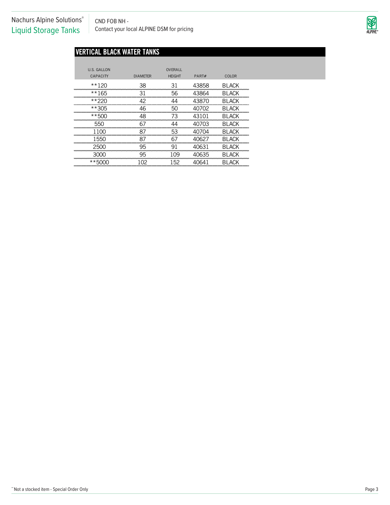CND FOB NH - CND FOB NH -<br>Contact your local ALPINE DSM for pricing

![](_page_4_Picture_2.jpeg)

# **VERTICAL BLACK WATER TANKS**

| U.S. GALLON     |                 | OVERALL       |       |               |  |
|-----------------|-----------------|---------------|-------|---------------|--|
| <b>CAPACITY</b> | <b>DIAMETER</b> | <b>HEIGHT</b> | PART# | COLOR         |  |
| **120           | 38              | 31            | 43858 | <b>BLACK</b>  |  |
| **165           | 31              | 56            | 43864 | <b>BLACK</b>  |  |
| $**220$         | 42              | 44            | 43870 | <b>BLACK</b>  |  |
| **305           | 46              | 50            | 40702 | <b>BLACK</b>  |  |
| **500           | 48              | 73            | 43101 | <b>BLACK</b>  |  |
| 550             | 67              | ΔΔ            | 40703 | <b>BLACK</b>  |  |
| 1100            | 87              | 53            | 40704 | <b>BLACK</b>  |  |
| 1550            | 87              | 67            | 40627 | <b>BLACK</b>  |  |
| 2500            | 95              | 91            | 40631 | <b>BLACK</b>  |  |
| 3000            | 95              | 109           | 40635 | <b>BLACK</b>  |  |
| **5000          | 102             | 152           | 40641 | <b>BI ACK</b> |  |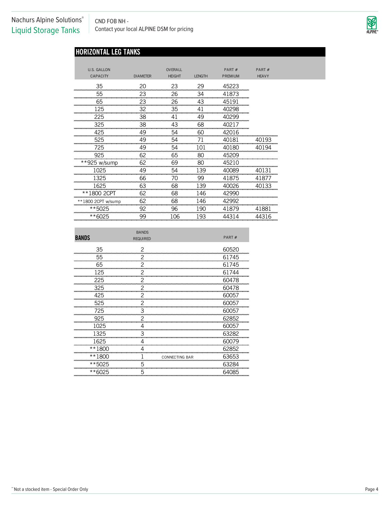CND FOB NH - CND FOB NH -<br>Contact your local ALPINE DSM for pricing

![](_page_5_Picture_2.jpeg)

# **HORIZONTAL LEG TANKS**

| <b>U.S. GALLON</b><br><b>CAPACITY</b> | <b>DIAMETER</b> | OVERALL<br><b>HEIGHT</b> | <b>LENGTH</b> | PART#<br><b>PREMIUM</b> | PART#<br><b>HEAVY</b> |
|---------------------------------------|-----------------|--------------------------|---------------|-------------------------|-----------------------|
| 35                                    | 20              | 23                       | 29            | 45223                   |                       |
| 55                                    | 23              | 26                       | 34            | 41873                   |                       |
| 65                                    | 23              | 26                       | 43            | 45191                   |                       |
| 125                                   | 32              | 35                       | 41            | 40298                   |                       |
| 225                                   | 38              | 41                       | 49            | 40299                   |                       |
| 325                                   | 38              | 43                       | 68            | 40217                   |                       |
| 425                                   | 49              | 54                       | 60            | 42016                   |                       |
| 525                                   | 49              | 54                       | 71            | 40181                   | 40193                 |
| 725                                   | 49              | 54                       | 101           | 40180                   | 40194                 |
| 925                                   | 62              | 65                       | 80            | 45209                   |                       |
| **925 w/sump                          | 62              | 69                       | 80            | 45210                   |                       |
| 1025                                  | 49              | 54                       | 139           | 40089                   | 40131                 |
| 1325                                  | 66              | 70                       | 99            | 41875                   | 41877                 |
| 1625                                  | 63              | 68                       | 139           | 40026                   | 40133                 |
| **1800 2CPT                           | 62              | 68                       | 146           | 42990                   |                       |
| **1800 2CPT w/sump                    | 62              | 68                       | 146           | 42992                   |                       |
| **5025                                | 92              | 96                       | 190           | 41879                   | 41881                 |
| **6025                                | 99              | 106                      | 193           | 44314                   | 44316                 |

|                             | <b>BANDS</b>    |                |                              |
|-----------------------------|-----------------|----------------|------------------------------|
| <b>BANDS</b>                | <b>REQUIRED</b> |                | PART#                        |
| 35<br>-------------------   |                 |                | 60520                        |
| 55                          |                 |                | 61745                        |
| 65<br>--------------------  |                 |                | 61745<br><b>Secondary Co</b> |
| 125<br>-----------------    |                 |                | 61744                        |
| 225<br>------------------   |                 |                | 60478                        |
| 325<br>,,,,,,,,,,,,,        |                 |                | 60478                        |
| 425<br>,,,,,,,,,,,,,,,,,,,, |                 |                | 60057                        |
| 525                         |                 |                | 60057                        |
| 725<br>50000000000000000    | З               |                | 60057<br>---------           |
| 925                         |                 |                | 62852                        |
| 1025<br>5000000000000000000 |                 |                | 60057<br>---------           |
| 1325                        |                 |                | 63282<br>----------------    |
| 1625<br>------------------  |                 |                | 60079<br>---------           |
| **180<br>20000000000        |                 |                | 62852                        |
| **180<br>,,,,,,,,,,,,,,,    |                 | CONNECTING BAR | 63653                        |
| **5025                      |                 |                | 63284                        |
| **6025                      | 5               |                | 64085                        |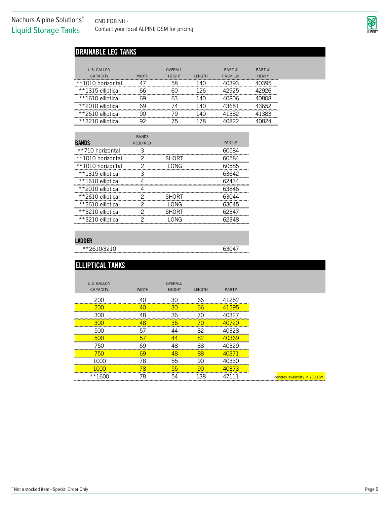CND FOB NH - CND FOB NH -<br>Contact your local ALPINE DSM for pricing

![](_page_6_Picture_2.jpeg)

# **DRAINABLE LEG TANKS**

| U.S. GALLON                            |              | OVERALL       |              | PART $#$ | PART $#$     |
|----------------------------------------|--------------|---------------|--------------|----------|--------------|
| CAPACITY<br>.                          | <b>WIDTH</b> | <b>HFIGHT</b> | <b>FNGTH</b> | PRFMIUM  | <b>HFAVY</b> |
| **1010 horizontal<br><b>CONTRACTOR</b> |              |               |              |          |              |
| **1315 elliptical                      |              |               |              |          |              |
| **1610 elliptical                      |              |               |              |          |              |
| **2010 elliptical                      |              |               |              |          |              |
| **2610 elliptical                      |              |               |              |          |              |
| **つつ<br>: ellintical                   |              |               |              |          |              |

|                   | <b>BANDS</b>    |              |       |
|-------------------|-----------------|--------------|-------|
| <b>BANDS</b>      | <b>REQUIRED</b> |              | PART# |
| **710 horizontal  |                 |              |       |
| **1010 horizontal |                 | SHORT        |       |
| **1010 horizontal |                 | NG           | 1585  |
| **1315 elliptical |                 |              |       |
| **1610 elliptical |                 |              | 62434 |
| **2010 elliptical |                 |              | 63846 |
| **2610 elliptical |                 | <b>SHORT</b> |       |
| **2610 elliptical |                 | I ONG        | 63045 |
| **3210 elliptical |                 | SHORT        |       |
| **3210 elliptical |                 |              |       |

#### **LADDER**

 $*$  2610/3210

| <b>ELLIPTICAL TANKS</b> |              |               |                                    |                              |                                |
|-------------------------|--------------|---------------|------------------------------------|------------------------------|--------------------------------|
| <b>U.S. GALLON</b>      |              | OVERALL       |                                    |                              |                                |
| CAPACITY                | <b>WIDTH</b> | <b>HEIGHT</b> | <b>LENGTH</b>                      | PART#                        |                                |
| 200                     | Δ∩           | 30            | 66                                 | 41252                        |                                |
| 200                     |              | 30            | 66                                 | 41295                        |                                |
| 300                     | 48           | 36            | 70                                 | 40327<br>.                   |                                |
| 300                     |              | 36            | 70                                 | 40720                        |                                |
| 500                     | 5'           |               | 82                                 | 40328                        |                                |
| 500                     | 5            | ΛЛ            | 82<br><b>USA A STATISTICS</b><br>. | 40369<br><b>DE L'ANTIQUE</b> |                                |
| 750                     | 69           | 48            | 88                                 | 40329                        |                                |
| 750<br>.                | GΟ           | 48            | 88<br>.                            | <b>CONTRACTOR</b>            |                                |
|                         | 78           | 55            | 90                                 | 40330<br><b>UNITED</b>       |                                |
|                         | 78           | 55            | ar                                 |                              |                                |
| $**1600$                | 78           | 54            | 138                                |                              | denotes availability in YELLOW |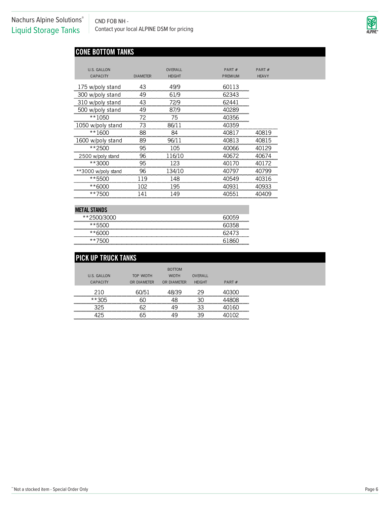CND FOB NH - CND FOB NH -<br>Contact your local ALPINE DSM for pricing

![](_page_7_Picture_2.jpeg)

# **CONE BOTTOM TANKS**

| U.S. GALLON         |                 | <b>OVFRAIL</b> | PART#          | PART#        |
|---------------------|-----------------|----------------|----------------|--------------|
| <b>CAPACITY</b>     | <b>DIAMETER</b> | <b>HEIGHT</b>  | <b>PREMIUM</b> | <b>HEAVY</b> |
| 175 w/poly stand    | 43              | 49/9           | 60113          |              |
| 300 w/poly stand    | 49              | 61/9           | 62343          |              |
| 310 w/poly stand    | 43              | 72/9           | 62441          |              |
| 500 w/poly stand    | 49              | 87/9           | 40289          |              |
| **1050              | 72              | 75             | 40356          |              |
| 1050 w/poly stand   | 73              | 86/11          | 40359          |              |
| $**1600$            | 88              | 84             | 40817          | 40819        |
| 1600 w/poly stand   | 89              | 96/11          | 40813          | 40815        |
| **2500              | 95              | 105            | 40066          | 40129        |
| 2500 w/poly stand   | 96              | 116/10         | 40672          | 40674        |
| **3000              | 95              | 123            | 40170          | 40172        |
| **3000 w/poly stand | 96              | 134/10         | 40797          | 40799        |
| **5500              | 119             | 148            | 40549          | 40316        |
| **6000              |                 | 195            | 40931          | 40933        |
| **7500              | 141             | 149            | 40551          | 40409        |

#### **METAL STANDS**

| _______________________ | ,,,,,,,,,,,,,,,,,,,,,,,,,,,,,,,,,,, |
|-------------------------|-------------------------------------|
|                         |                                     |

| <b>PICK UP TRUCK TANKS</b>   |             |               |               |                                          |
|------------------------------|-------------|---------------|---------------|------------------------------------------|
|                              |             | <b>BOTTOM</b> |               |                                          |
| U.S. GALLON                  | TOP WIDTH   | <b>WIDTH</b>  | OVERALL       |                                          |
| CAPACITY                     | OR DIAMETER | OR DIAMETER   | <b>HEIGHT</b> | PART $#$                                 |
| 210<br>,,,,,,,,,,,,,,,,,,,,, | 60/51       |               | 29            | ,,,,,,,,,,,,,,,,,                        |
| **305                        | 6ſ          | 1Я            | 30            |                                          |
| <br>325                      | <br>GΩ      | 49            | 33            | ,,,,,,,,,,,,,,,,,,,,,,,,,,,,,,,<br>ы<br> |
| 25<br>.                      |             | ЛO            | 39            |                                          |
|                              |             |               |               |                                          |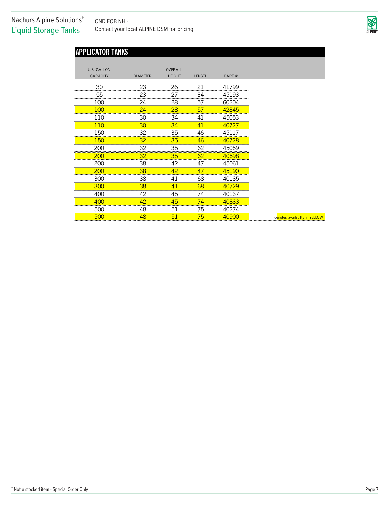CND FOB NH - CND FOB NH -<br>Contact your local ALPINE DSM for pricing

![](_page_8_Picture_2.jpeg)

# **APPLICATOR TANKS**

| U.S. GALLON                                      |                               | OVERALL                  |                                     |                              |                                |
|--------------------------------------------------|-------------------------------|--------------------------|-------------------------------------|------------------------------|--------------------------------|
| <b>CAPACITY</b>                                  | <b>DIAMETER</b>               | <b>HEIGHT</b>            | <b>LENGTH</b>                       | PART#                        |                                |
|                                                  |                               |                          |                                     |                              |                                |
| 30<br>,,,,,,,,,,,,,,,,,,,,,,,,,,,,,,             | 23<br>an an an an an an an an | 26<br>--------           | 21<br>-------------                 | 41799                        |                                |
| 55                                               | 23                            | 27                       | 34                                  | 45193                        |                                |
| LOC                                              | 24                            | 28                       | 57                                  | 60204                        |                                |
| $\alpha$                                         | 24                            | 28                       | 5.                                  |                              |                                |
|                                                  | ЗС                            | 34                       |                                     | 45053                        |                                |
|                                                  | www.com.com<br>30             | 34                       | <u>നാവസാന സാധാരണനായ സാധാര</u><br>4. | 727<br>40                    |                                |
| . <u>ಕಾರಿನ ಕಾರಿನ ಕಾರಿನ ಕಾರಿ</u> ನ ಕಾರ<br>50      | 32                            | ,,,,,,,,,,,<br>35        | 46                                  | <u> ಸಾಮಾನ್ಯ ಸ</u><br>451     |                                |
| mananan mananan a<br>ы                           |                               | www.common.com<br>35     | -----------------<br>46             | 40728                        |                                |
|                                                  | 32                            | 35                       | 62                                  |                              |                                |
| ------------<br>200                              | 32                            | 35                       | 62                                  | -------<br>10598             |                                |
| 200                                              | 38                            |                          | 47                                  | 45061                        |                                |
| omoromoromor<br>200                              | 38                            | <u>oo moo moo moo mo</u> | 47                                  | <b>CONTRACTOR</b><br>45190   |                                |
| . <mark>ರಂಗದ ಸಂಪರ್ಕರ ಸದಸರ ಸಂಪರ್ಕ</mark> ರ<br>300 | 38                            |                          | 68                                  | -------<br>40135             |                                |
| .<br>300                                         | 38                            | manananananananan        | www.communication.com<br>68         | 40729                        |                                |
| <del>.</del>                                     |                               | 45                       |                                     | <b>Brown Common</b><br>40137 |                                |
| 400                                              | 42                            | 45                       | 74                                  | 40833                        |                                |
| 50C                                              | 48                            | 51                       | 75                                  | <b>CONCRETE DE</b><br>40274  |                                |
| <b>CONTINUES IN THE REAL</b><br><b>500</b>       | 48                            | 51                       | 75                                  | <b>CONTRACTOR</b><br>40900   | denotes availability in YELLOW |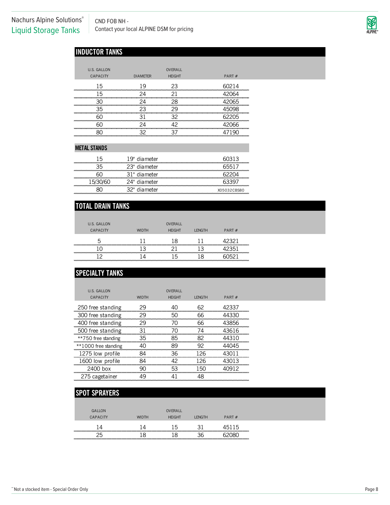CND FOB NH - CND FOB NH -<br>Contact your local ALPINE DSM for pricing

![](_page_9_Picture_2.jpeg)

# **INDUCTOR TANKS**

| U.S. GALLON |                 | <b>OVERALL</b> |       |
|-------------|-----------------|----------------|-------|
| CAPACITY    | <b>DIAMETER</b> | <b>HEIGHT</b>  | PART# |
| 15          | 19              | 23             | 60214 |
| 15          | 24              |                | ĥЛ    |
|             | 2Δ              | 28             | 65    |
| 35          | 23              |                |       |
|             |                 |                | 历     |
|             | 2Δ              | ◠              | ุคค   |
|             |                 |                |       |

#### **METAL STANDS**

| 15 | 19" diameter | 13          |
|----|--------------|-------------|
|    | 23" diameter |             |
|    | 31" diameter |             |
|    | 24" diameter |             |
|    | 32" diameter | X05032CBS80 |
|    |              |             |

# **TOTAL DRAIN TANKS**

| U.S. GALLON     |              | OVERALL       |               |          |  |
|-----------------|--------------|---------------|---------------|----------|--|
| <b>CAPACITY</b> | <b>WIDTH</b> | <b>HEIGHT</b> | <b>LENGTH</b> | PART $#$ |  |
| ∽               |              | 18            |               | 19391    |  |
|                 |              |               |               |          |  |
|                 |              | 后             |               |          |  |

# **SPECIALTY TANKS**

| U.S. GALLON          |              | <b>OVERALL</b> |                |       |
|----------------------|--------------|----------------|----------------|-------|
| CAPACITY             | <b>WIDTH</b> | <b>HFIGHT</b>  | <b>I FNGTH</b> | PART# |
| 250 free standing    | 29           | 40             | 62             | 42337 |
| 300 free standing    | 29           | 50             | 66             | 44330 |
| 400 free standing    | 29           | 70             | 66             | 43856 |
| 500 free standing    | 31           | 70             | 74             | 43616 |
| **750 free standing  | 35           | 85             | 82             | 44310 |
| **1000 free standing | ⊿∩           | 89             | 92             | 44045 |
| 1275 low profile     | 84           | 36.            | 126            | 43011 |
| 1600 low profile     | 84           | 42             | 126            | 43013 |
| 2400 box             | qη           | 53             | 150            | 40912 |
| 275 cagetainer       | 49           | 41             | 48             |       |

# **SPOT SPRAYERS**

| GALLON   |              | <b>OVERALL</b> |                |          |  |
|----------|--------------|----------------|----------------|----------|--|
| CAPACITY | <b>WIDTH</b> | <b>HFIGHT</b>  | <b>I FNGTH</b> | PART $#$ |  |
|          |              | ∽              |                |          |  |
|          |              |                |                |          |  |
|          |              |                |                |          |  |